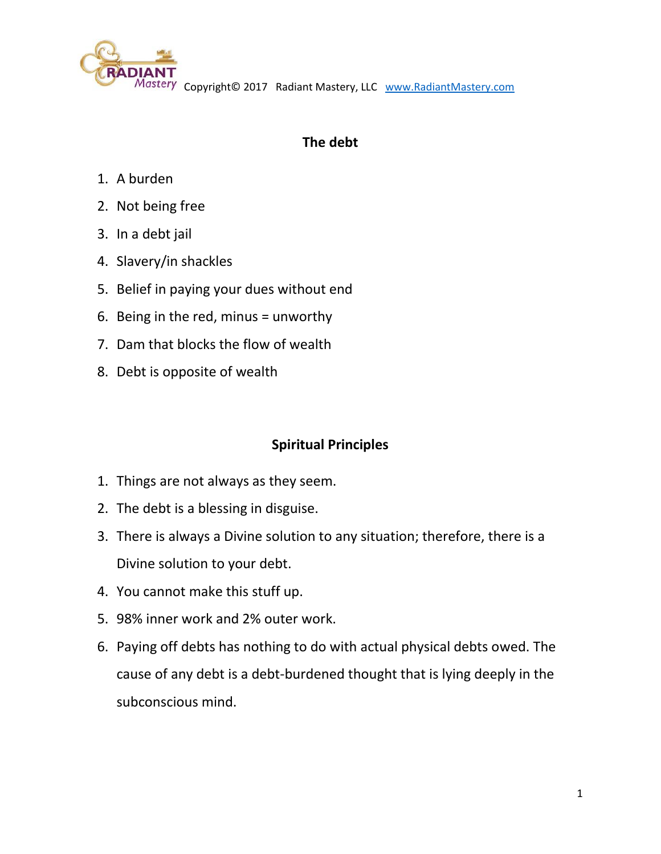

Copyright© 2017 Radiant Mastery, LLC [www.RadiantMastery.com](http://www.radiantmastery.com/)

## **The debt**

- 1. A burden
- 2. Not being free
- 3. In a debt jail
- 4. Slavery/in shackles
- 5. Belief in paying your dues without end
- 6. Being in the red, minus = unworthy
- 7. Dam that blocks the flow of wealth
- 8. Debt is opposite of wealth

## **Spiritual Principles**

- 1. Things are not always as they seem.
- 2. The debt is a blessing in disguise.
- 3. There is always a Divine solution to any situation; therefore, there is a Divine solution to your debt.
- 4. You cannot make this stuff up.
- 5. 98% inner work and 2% outer work.
- 6. Paying off debts has nothing to do with actual physical debts owed. The cause of any debt is a debt-burdened thought that is lying deeply in the subconscious mind.